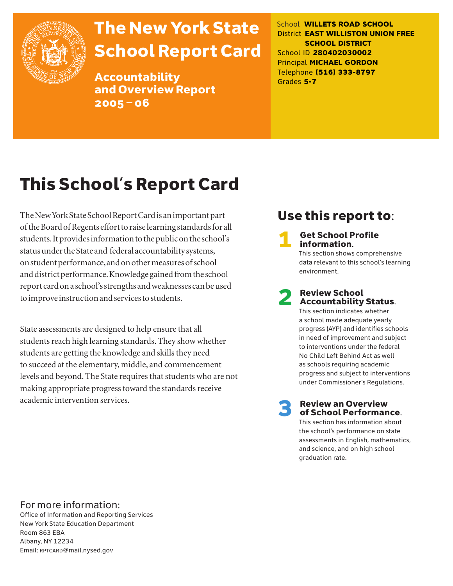

# The New York State School Report Card

Accountability and Overview Report 2005–06

School **WILLETS ROAD SCHOOL** District **EAST WILLISTON UNION FREE SCHOOL DISTRICT** School ID **280402030002** Principal **MICHAEL GORDON** Telephone **(516) 333-8797** Grades **5-7**

# This School's Report Card

The New York State School Report Card is an important part of the Board of Regents effort to raise learning standards for all students. It provides information to the public on the school's status under the State and federal accountability systems, on student performance, and on other measures of school and district performance. Knowledge gained from the school report card on a school's strengths and weaknesses can be used to improve instruction and services to students.

State assessments are designed to help ensure that all students reach high learning standards. They show whether students are getting the knowledge and skills they need to succeed at the elementary, middle, and commencement levels and beyond. The State requires that students who are not making appropriate progress toward the standards receive academic intervention services.

### Use this report to:

**Get School Profile** information. This section shows comprehensive

data relevant to this school's learning environment.

# 2 Review School Accountability Status.

This section indicates whether a school made adequate yearly progress (AYP) and identifies schools in need of improvement and subject to interventions under the federal No Child Left Behind Act as well as schools requiring academic progress and subject to interventions under Commissioner's Regulations.

**Review an Overview** of School Performance.

This section has information about the school's performance on state assessments in English, mathematics, and science, and on high school graduation rate.

### For more information:

Office of Information and Reporting Services New York State Education Department Room 863 EBA Albany, NY 12234 Email: RPTCARD@mail.nysed.gov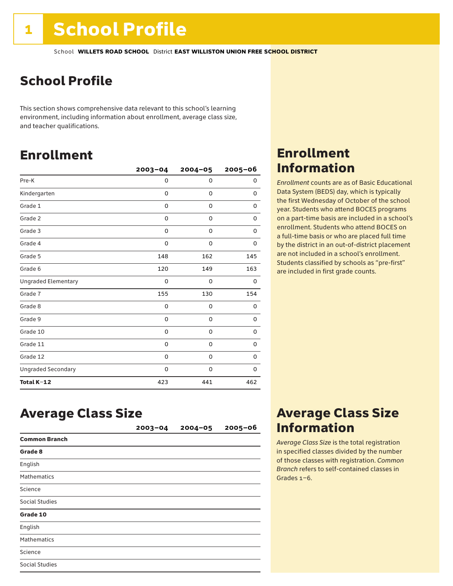# School Profile

This section shows comprehensive data relevant to this school's learning environment, including information about enrollment, average class size, and teacher qualifications.

### Enrollment

|                            | $2003 - 04$ | $2004 - 05$ | 2005-06 |
|----------------------------|-------------|-------------|---------|
| Pre-K                      | 0           | 0           | 0       |
| Kindergarten               | 0           | 0           | 0       |
| Grade 1                    | 0           | 0           | 0       |
| Grade 2                    | 0           | 0           | 0       |
| Grade 3                    | 0           | 0           | 0       |
| Grade 4                    | 0           | 0           | 0       |
| Grade 5                    | 148         | 162         | 145     |
| Grade 6                    | 120         | 149         | 163     |
| <b>Ungraded Elementary</b> | 0           | 0           | 0       |
| Grade 7                    | 155         | 130         | 154     |
| Grade 8                    | 0           | 0           | 0       |
| Grade 9                    | 0           | 0           | 0       |
| Grade 10                   | 0           | 0           | 0       |
| Grade 11                   | 0           | 0           | 0       |
| Grade 12                   | 0           | 0           | 0       |
| <b>Ungraded Secondary</b>  | 0           | 0           | 0       |
| Total K-12                 | 423         | 441         | 462     |

### Enrollment Information

*Enrollment* counts are as of Basic Educational Data System (BEDS) day, which is typically the first Wednesday of October of the school year. Students who attend BOCES programs on a part-time basis are included in a school's enrollment. Students who attend BOCES on a full-time basis or who are placed full time by the district in an out-of-district placement are not included in a school's enrollment. Students classified by schools as "pre-first" are included in first grade counts.

### Average Class Size

|                       | $2003 - 04$ | $2004 - 05$ | $2005 - 06$ |
|-----------------------|-------------|-------------|-------------|
| <b>Common Branch</b>  |             |             |             |
| Grade 8               |             |             |             |
| English               |             |             |             |
| <b>Mathematics</b>    |             |             |             |
| Science               |             |             |             |
| <b>Social Studies</b> |             |             |             |
| Grade 10              |             |             |             |
| English               |             |             |             |
| <b>Mathematics</b>    |             |             |             |
| Science               |             |             |             |
| <b>Social Studies</b> |             |             |             |

### Average Class Size Information

*Average Class Size* is the total registration in specified classes divided by the number of those classes with registration. *Common Branch* refers to self-contained classes in Grades 1–6.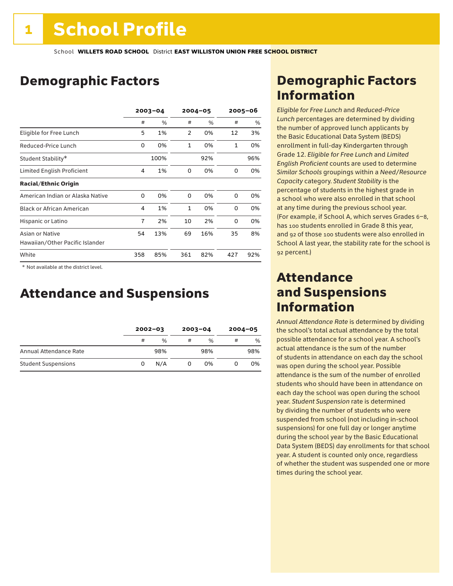## Demographic Factors

|                                  | $2003 - 04$ |      |                | $2004 - 05$ |              | $2005 - 06$ |  |
|----------------------------------|-------------|------|----------------|-------------|--------------|-------------|--|
|                                  | #           | %    | #              | %           | #            | %           |  |
| Eligible for Free Lunch          | 5           | 1%   | $\overline{2}$ | 0%          | 12           | 3%          |  |
| Reduced-Price Lunch              | 0           | 0%   | $\mathbf{1}$   | 0%          | $\mathbf{1}$ | 0%          |  |
| Student Stability*               |             | 100% |                | 92%         |              | 96%         |  |
| Limited English Proficient       | 4           | 1%   | 0              | 0%          | 0            | 0%          |  |
| <b>Racial/Ethnic Origin</b>      |             |      |                |             |              |             |  |
| American Indian or Alaska Native | 0           | 0%   | 0              | 0%          | 0            | 0%          |  |
| <b>Black or African American</b> | 4           | 1%   | $\mathbf{1}$   | 0%          | 0            | 0%          |  |
| Hispanic or Latino               | 7           | 2%   | 10             | 2%          | 0            | 0%          |  |
| Asian or Native                  | 54          | 13%  | 69             | 16%         | 35           | 8%          |  |
| Hawaiian/Other Pacific Islander  |             |      |                |             |              |             |  |
| White                            | 358         | 85%  | 361            | 82%         | 427          | 92%         |  |

 \* Not available at the district level.

### Attendance and Suspensions

|                            | $2002 - 03$ |               | $2003 - 04$ |               | $2004 - 05$ |     |
|----------------------------|-------------|---------------|-------------|---------------|-------------|-----|
|                            | #           | $\frac{0}{6}$ | #           | $\frac{1}{2}$ | #           | %   |
| Annual Attendance Rate     |             | 98%           |             | 98%           |             | 98% |
| <b>Student Suspensions</b> | 0           | N/A           |             | 0%            |             | 0%  |

### Demographic Factors Information

*Eligible for Free Lunch* and *Reduced*-*Price Lunch* percentages are determined by dividing the number of approved lunch applicants by the Basic Educational Data System (BEDS) enrollment in full-day Kindergarten through Grade 12. *Eligible for Free Lunch* and *Limited English Proficient* counts are used to determine *Similar Schools* groupings within a *Need*/*Resource Capacity* category. *Student Stability* is the percentage of students in the highest grade in a school who were also enrolled in that school at any time during the previous school year. (For example, if School A, which serves Grades 6–8, has 100 students enrolled in Grade 8 this year, and 92 of those 100 students were also enrolled in School A last year, the stability rate for the school is 92 percent.)

### Attendance and Suspensions Information

*Annual Attendance Rate* is determined by dividing the school's total actual attendance by the total possible attendance for a school year. A school's actual attendance is the sum of the number of students in attendance on each day the school was open during the school year. Possible attendance is the sum of the number of enrolled students who should have been in attendance on each day the school was open during the school year. *Student Suspension* rate is determined by dividing the number of students who were suspended from school (not including in-school suspensions) for one full day or longer anytime during the school year by the Basic Educational Data System (BEDS) day enrollments for that school year. A student is counted only once, regardless of whether the student was suspended one or more times during the school year.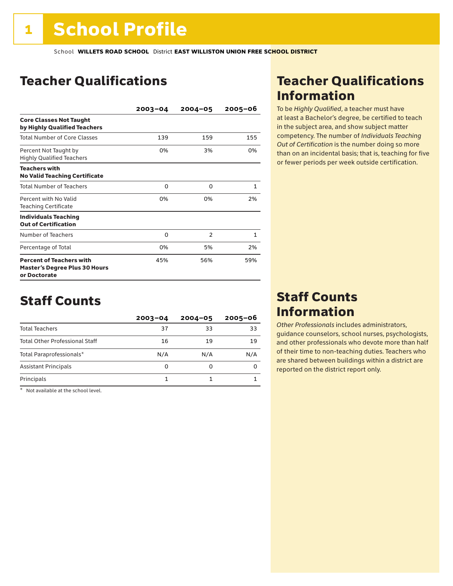### Teacher Qualifications

|                                                                                         | $2003 - 04$ | $2004 - 05$    | $2005 - 06$  |
|-----------------------------------------------------------------------------------------|-------------|----------------|--------------|
| <b>Core Classes Not Taught</b><br>by Highly Qualified Teachers                          |             |                |              |
| Total Number of Core Classes                                                            | 139         | 159            | 155          |
| Percent Not Taught by<br><b>Highly Qualified Teachers</b>                               | 0%          | 3%             | 0%           |
| <b>Teachers with</b><br><b>No Valid Teaching Certificate</b>                            |             |                |              |
| <b>Total Number of Teachers</b>                                                         | 0           | $\Omega$       | 1            |
| Percent with No Valid<br><b>Teaching Certificate</b>                                    | 0%          | 0%             | 2%           |
| <b>Individuals Teaching</b><br><b>Out of Certification</b>                              |             |                |              |
| Number of Teachers                                                                      | 0           | $\overline{2}$ | $\mathbf{1}$ |
| Percentage of Total                                                                     | 0%          | 5%             | 2%           |
| <b>Percent of Teachers with</b><br><b>Master's Degree Plus 30 Hours</b><br>or Doctorate | 45%         | 56%            | 59%          |

### Staff Counts

|                                       | $2003 - 04$ | $2004 - 05$ | $2005 - 06$ |
|---------------------------------------|-------------|-------------|-------------|
| <b>Total Teachers</b>                 | 37          | 33          | 33          |
| <b>Total Other Professional Staff</b> | 16          | 19          | 19          |
| Total Paraprofessionals*              | N/A         | N/A         | N/A         |
| <b>Assistant Principals</b>           | 0           | O           |             |
| Principals                            |             |             |             |

\* Not available at the school level.

### Teacher Qualifications Information

To be *Highly Qualified*, a teacher must have at least a Bachelor's degree, be certified to teach in the subject area, and show subject matter competency. The number of *Individuals Teaching Out of Certification* is the number doing so more than on an incidental basis; that is, teaching for five or fewer periods per week outside certification.

### Staff Counts Information

*Other Professionals* includes administrators, guidance counselors, school nurses, psychologists, and other professionals who devote more than half of their time to non-teaching duties. Teachers who are shared between buildings within a district are reported on the district report only.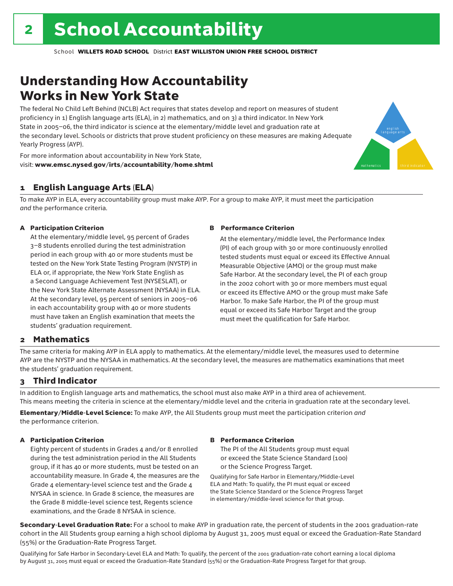# Understanding How Accountability Works in New York State

The federal No Child Left Behind (NCLB) Act requires that states develop and report on measures of student proficiency in 1) English language arts (ELA), in 2) mathematics, and on 3) a third indicator. In New York State in 2005–06, the third indicator is science at the elementary/middle level and graduation rate at the secondary level. Schools or districts that prove student proficiency on these measures are making Adequate Yearly Progress (AYP).



For more information about accountability in New York State, visit: www.emsc.nysed.gov/irts/accountability/home.shtml

#### 1 English Language Arts (ELA)

To make AYP in ELA, every accountability group must make AYP. For a group to make AYP, it must meet the participation *and* the performance criteria.

#### A Participation Criterion

At the elementary/middle level, 95 percent of Grades 3–8 students enrolled during the test administration period in each group with 40 or more students must be tested on the New York State Testing Program (NYSTP) in ELA or, if appropriate, the New York State English as a Second Language Achievement Test (NYSESLAT), or the New York State Alternate Assessment (NYSAA) in ELA. At the secondary level, 95 percent of seniors in 2005–06 in each accountability group with 40 or more students must have taken an English examination that meets the students' graduation requirement.

#### B Performance Criterion

At the elementary/middle level, the Performance Index (PI) of each group with 30 or more continuously enrolled tested students must equal or exceed its Effective Annual Measurable Objective (AMO) or the group must make Safe Harbor. At the secondary level, the PI of each group in the 2002 cohort with 30 or more members must equal or exceed its Effective AMO or the group must make Safe Harbor. To make Safe Harbor, the PI of the group must equal or exceed its Safe Harbor Target and the group must meet the qualification for Safe Harbor.

#### 2 Mathematics

The same criteria for making AYP in ELA apply to mathematics. At the elementary/middle level, the measures used to determine AYP are the NYSTP and the NYSAA in mathematics. At the secondary level, the measures are mathematics examinations that meet the students' graduation requirement.

#### 3 Third Indicator

In addition to English language arts and mathematics, the school must also make AYP in a third area of achievement. This means meeting the criteria in science at the elementary/middle level and the criteria in graduation rate at the secondary level.

Elementary/Middle-Level Science: To make AYP, the All Students group must meet the participation criterion *and* the performance criterion.

#### A Participation Criterion

Eighty percent of students in Grades 4 and/or 8 enrolled during the test administration period in the All Students group, if it has 40 or more students, must be tested on an accountability measure. In Grade 4, the measures are the Grade 4 elementary-level science test and the Grade 4 NYSAA in science. In Grade 8 science, the measures are the Grade 8 middle-level science test, Regents science examinations, and the Grade 8 NYSAA in science.

#### B Performance Criterion

The PI of the All Students group must equal or exceed the State Science Standard (100) or the Science Progress Target.

Qualifying for Safe Harbor in Elementary/Middle-Level ELA and Math: To qualify, the PI must equal or exceed the State Science Standard or the Science Progress Target in elementary/middle-level science for that group.

Secondary-Level Graduation Rate: For a school to make AYP in graduation rate, the percent of students in the 2001 graduation-rate cohort in the All Students group earning a high school diploma by August 31, 2005 must equal or exceed the Graduation-Rate Standard (55%) or the Graduation-Rate Progress Target.

Qualifying for Safe Harbor in Secondary-Level ELA and Math: To qualify, the percent of the 2001 graduation-rate cohort earning a local diploma by August 31, 2005 must equal or exceed the Graduation-Rate Standard (55%) or the Graduation-Rate Progress Target for that group.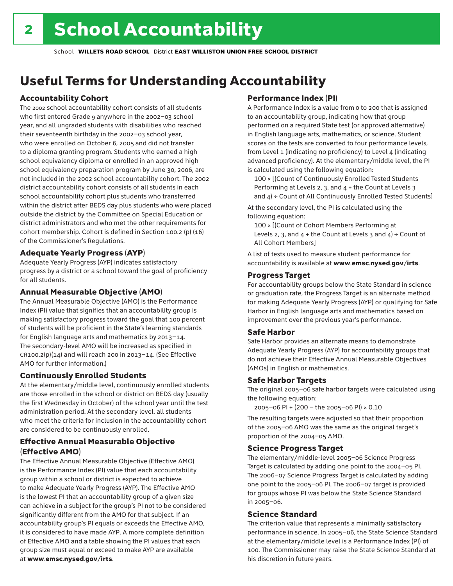# Useful Terms for Understanding Accountability

#### Accountability Cohort

The 2002 school accountability cohort consists of all students who first entered Grade 9 anywhere in the 2002–03 school year, and all ungraded students with disabilities who reached their seventeenth birthday in the 2002–03 school year, who were enrolled on October 6, 2005 and did not transfer to a diploma granting program. Students who earned a high school equivalency diploma or enrolled in an approved high school equivalency preparation program by June 30, 2006, are not included in the 2002 school accountability cohort. The 2002 district accountability cohort consists of all students in each school accountability cohort plus students who transferred within the district after BEDS day plus students who were placed outside the district by the Committee on Special Education or district administrators and who met the other requirements for cohort membership. Cohort is defined in Section 100.2 (p) (16) of the Commissioner's Regulations.

#### Adequate Yearly Progress (AYP)

Adequate Yearly Progress (AYP) indicates satisfactory progress by a district or a school toward the goal of proficiency for all students.

#### Annual Measurable Objective (AMO)

The Annual Measurable Objective (AMO) is the Performance Index (PI) value that signifies that an accountability group is making satisfactory progress toward the goal that 100 percent of students will be proficient in the State's learning standards for English language arts and mathematics by 2013–14. The secondary-level AMO will be increased as specified in  $CR100.2(p)(14)$  and will reach 200 in 2013-14. (See Effective AMO for further information.)

#### Continuously Enrolled Students

At the elementary/middle level, continuously enrolled students are those enrolled in the school or district on BEDS day (usually the first Wednesday in October) of the school year until the test administration period. At the secondary level, all students who meet the criteria for inclusion in the accountability cohort are considered to be continuously enrolled.

#### Effective Annual Measurable Objective (Effective AMO)

The Effective Annual Measurable Objective (Effective AMO) is the Performance Index (PI) value that each accountability group within a school or district is expected to achieve to make Adequate Yearly Progress (AYP). The Effective AMO is the lowest PI that an accountability group of a given size can achieve in a subject for the group's PI not to be considered significantly different from the AMO for that subject. If an accountability group's PI equals or exceeds the Effective AMO, it is considered to have made AYP. A more complete definition of Effective AMO and a table showing the PI values that each group size must equal or exceed to make AYP are available at www.emsc.nysed.gov/irts.

#### Performance Index (PI)

A Performance Index is a value from 0 to 200 that is assigned to an accountability group, indicating how that group performed on a required State test (or approved alternative) in English language arts, mathematics, or science. Student scores on the tests are converted to four performance levels, from Level 1 (indicating no proficiency) to Level 4 (indicating advanced proficiency). At the elementary/middle level, the PI is calculated using the following equation:

100 × [(Count of Continuously Enrolled Tested Students Performing at Levels 2, 3, and 4 + the Count at Levels 3 and  $4$ ) ÷ Count of All Continuously Enrolled Tested Students]

At the secondary level, the PI is calculated using the following equation:

100 × [(Count of Cohort Members Performing at Levels 2, 3, and  $4 +$  the Count at Levels 3 and  $4$ ) ÷ Count of All Cohort Members]

A list of tests used to measure student performance for accountability is available at www.emsc.nysed.gov/irts.

#### Progress Target

For accountability groups below the State Standard in science or graduation rate, the Progress Target is an alternate method for making Adequate Yearly Progress (AYP) or qualifying for Safe Harbor in English language arts and mathematics based on improvement over the previous year's performance.

#### Safe Harbor

Safe Harbor provides an alternate means to demonstrate Adequate Yearly Progress (AYP) for accountability groups that do not achieve their Effective Annual Measurable Objectives (AMOs) in English or mathematics.

#### Safe Harbor Targets

The original 2005–06 safe harbor targets were calculated using the following equation:

2005–06 PI + (200 – the 2005–06 PI) × 0.10

The resulting targets were adjusted so that their proportion of the 2005–06 AMO was the same as the original target's proportion of the 2004–05 AMO.

#### Science Progress Target

The elementary/middle-level 2005–06 Science Progress Target is calculated by adding one point to the 2004–05 PI. The 2006–07 Science Progress Target is calculated by adding one point to the 2005–06 PI. The 2006–07 target is provided for groups whose PI was below the State Science Standard in 2005–06.

#### Science Standard

The criterion value that represents a minimally satisfactory performance in science. In 2005–06, the State Science Standard at the elementary/middle level is a Performance Index (PI) of 100. The Commissioner may raise the State Science Standard at his discretion in future years.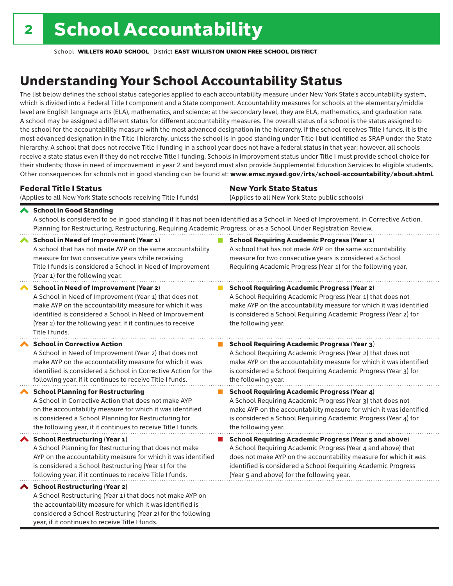considered a School Restructuring (Year 2) for the following

year, if it continues to receive Title I funds.

School **WILLETS ROAD SCHOOL** District **EAST WILLISTON UNION FREE SCHOOL DISTRICT**

# Understanding Your School Accountability Status

The list below defines the school status categories applied to each accountability measure under New York State's accountability system, which is divided into a Federal Title I component and a State component. Accountability measures for schools at the elementary/middle level are English language arts (ELA), mathematics, and science; at the secondary level, they are ELA, mathematics, and graduation rate. A school may be assigned a different status for different accountability measures. The overall status of a school is the status assigned to the school for the accountability measure with the most advanced designation in the hierarchy. If the school receives Title I funds, it is the most advanced designation in the Title I hierarchy, unless the school is in good standing under Title I but identified as SRAP under the State hierarchy. A school that does not receive Title I funding in a school year does not have a federal status in that year; however, all schools receive a state status even if they do not receive Title I funding. Schools in improvement status under Title I must provide school choice for their students; those in need of improvement in year 2 and beyond must also provide Supplemental Education Services to eligible students. Other consequences for schools not in good standing can be found at: www.emsc.nysed.gov/irts/school-accountability/about.shtml.

| <b>Federal Title I Status</b>                                                                                                                                                                                                                                                                                   | <b>New York State Status</b>                                                                                                                                                                                                                                                      |
|-----------------------------------------------------------------------------------------------------------------------------------------------------------------------------------------------------------------------------------------------------------------------------------------------------------------|-----------------------------------------------------------------------------------------------------------------------------------------------------------------------------------------------------------------------------------------------------------------------------------|
| (Applies to all New York State schools receiving Title I funds)                                                                                                                                                                                                                                                 | (Applies to all New York State public schools)                                                                                                                                                                                                                                    |
| School in Good Standing<br>Planning for Restructuring, Restructuring, Requiring Academic Progress, or as a School Under Registration Review.                                                                                                                                                                    | A school is considered to be in good standing if it has not been identified as a School in Need of Improvement, in Corrective Action,                                                                                                                                             |
| <b>School in Need of Improvement (Year 1)</b><br>A school that has not made AYP on the same accountability<br>measure for two consecutive years while receiving<br>Title I funds is considered a School in Need of Improvement<br>(Year 1) for the following year.                                              | <b>School Requiring Academic Progress (Year 1)</b><br>A school that has not made AYP on the same accountability<br>measure for two consecutive years is considered a School<br>Requiring Academic Progress (Year 1) for the following year.                                       |
| <b>School in Need of Improvement (Year 2)</b><br>A School in Need of Improvement (Year 1) that does not<br>make AYP on the accountability measure for which it was<br>identified is considered a School in Need of Improvement<br>(Year 2) for the following year, if it continues to receive<br>Title I funds. | <b>School Requiring Academic Progress (Year 2)</b><br>A School Requiring Academic Progress (Year 1) that does not<br>make AYP on the accountability measure for which it was identified<br>is considered a School Requiring Academic Progress (Year 2) for<br>the following year. |
| <b>School in Corrective Action</b>                                                                                                                                                                                                                                                                              | <b>School Requiring Academic Progress (Year 3)</b>                                                                                                                                                                                                                                |
| A School in Need of Improvement (Year 2) that does not                                                                                                                                                                                                                                                          | A School Requiring Academic Progress (Year 2) that does not                                                                                                                                                                                                                       |
| make AYP on the accountability measure for which it was                                                                                                                                                                                                                                                         | make AYP on the accountability measure for which it was identified                                                                                                                                                                                                                |
| identified is considered a School in Corrective Action for the                                                                                                                                                                                                                                                  | is considered a School Requiring Academic Progress (Year 3) for                                                                                                                                                                                                                   |
| following year, if it continues to receive Title I funds.                                                                                                                                                                                                                                                       | the following year.                                                                                                                                                                                                                                                               |
| <b>School Planning for Restructuring</b>                                                                                                                                                                                                                                                                        | <b>School Requiring Academic Progress (Year 4)</b>                                                                                                                                                                                                                                |
| A School in Corrective Action that does not make AYP                                                                                                                                                                                                                                                            | A School Requiring Academic Progress (Year 3) that does not                                                                                                                                                                                                                       |
| on the accountability measure for which it was identified                                                                                                                                                                                                                                                       | make AYP on the accountability measure for which it was identified                                                                                                                                                                                                                |
| is considered a School Planning for Restructuring for                                                                                                                                                                                                                                                           | is considered a School Requiring Academic Progress (Year 4) for                                                                                                                                                                                                                   |
| the following year, if it continues to receive Title I funds.                                                                                                                                                                                                                                                   | the following year.                                                                                                                                                                                                                                                               |
| <b>School Restructuring (Year 1)</b>                                                                                                                                                                                                                                                                            | <b>School Requiring Academic Progress (Year 5 and above)</b>                                                                                                                                                                                                                      |
| A School Planning for Restructuring that does not make                                                                                                                                                                                                                                                          | A School Requiring Academic Progress (Year 4 and above) that                                                                                                                                                                                                                      |
| AYP on the accountability measure for which it was identified                                                                                                                                                                                                                                                   | does not make AYP on the accountability measure for which it was                                                                                                                                                                                                                  |
| is considered a School Restructuring (Year 1) for the                                                                                                                                                                                                                                                           | identified is considered a School Requiring Academic Progress                                                                                                                                                                                                                     |
| following year, if it continues to receive Title I funds.                                                                                                                                                                                                                                                       | (Year 5 and above) for the following year.                                                                                                                                                                                                                                        |
| ◆ School Restructuring (Year 2)<br>A School Restructuring (Year 1) that does not make AYP on<br>the accountability measure for which it was identified is                                                                                                                                                       |                                                                                                                                                                                                                                                                                   |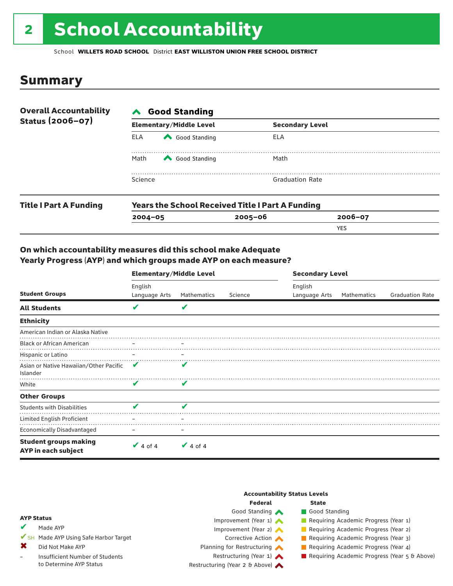# 2 School Accountability

School **WILLETS ROAD SCHOOL** District **EAST WILLISTON UNION FREE SCHOOL DISTRICT**

### Summary

| <b>Overall Accountability</b><br>Status (2006-07) | <b>Good Standing</b><br>$\boldsymbol{\wedge}$ |                                |                                                         |         |  |  |
|---------------------------------------------------|-----------------------------------------------|--------------------------------|---------------------------------------------------------|---------|--|--|
|                                                   |                                               | <b>Elementary/Middle Level</b> | <b>Secondary Level</b>                                  |         |  |  |
|                                                   | ELA                                           | Good Standing                  | ELA                                                     |         |  |  |
|                                                   | Math                                          | Good Standing                  | Math                                                    |         |  |  |
|                                                   | Science                                       |                                | <b>Graduation Rate</b>                                  |         |  |  |
| <b>Title I Part A Funding</b>                     |                                               |                                | <b>Years the School Received Title I Part A Funding</b> |         |  |  |
|                                                   | $2004 - 05$                                   |                                | $2005 - 06$                                             | 2006-07 |  |  |

YES

#### On which accountability measures did this school make Adequate Yearly Progress (AYP) and which groups made AYP on each measure?

|                                                     | <b>Elementary/Middle Level</b> |                 |         |                          | <b>Secondary Level</b> |                        |  |  |
|-----------------------------------------------------|--------------------------------|-----------------|---------|--------------------------|------------------------|------------------------|--|--|
| <b>Student Groups</b>                               | English<br>Language Arts       | Mathematics     | Science | English<br>Language Arts | Mathematics            | <b>Graduation Rate</b> |  |  |
| <b>All Students</b>                                 | V                              | v               |         |                          |                        |                        |  |  |
| <b>Ethnicity</b>                                    |                                |                 |         |                          |                        |                        |  |  |
| American Indian or Alaska Native                    |                                |                 |         |                          |                        |                        |  |  |
| <b>Black or African American</b>                    | $\overline{\phantom{m}}$       | $\qquad \qquad$ |         |                          |                        |                        |  |  |
| Hispanic or Latino                                  |                                |                 |         |                          |                        |                        |  |  |
| Asian or Native Hawaiian/Other Pacific<br>Islander  | v                              | v               |         |                          |                        |                        |  |  |
| White                                               | $\overline{\mathbf{v}}$        | V               |         |                          |                        |                        |  |  |
| <b>Other Groups</b>                                 |                                |                 |         |                          |                        |                        |  |  |
| <b>Students with Disabilities</b>                   | v                              | v               |         |                          |                        |                        |  |  |
| Limited English Proficient                          |                                |                 |         |                          |                        |                        |  |  |
| <b>Economically Disadvantaged</b>                   |                                |                 |         |                          |                        |                        |  |  |
| <b>Student groups making</b><br>AYP in each subject | $\vee$ 4 of 4                  | $\vee$ 4 of 4   |         |                          |                        |                        |  |  |

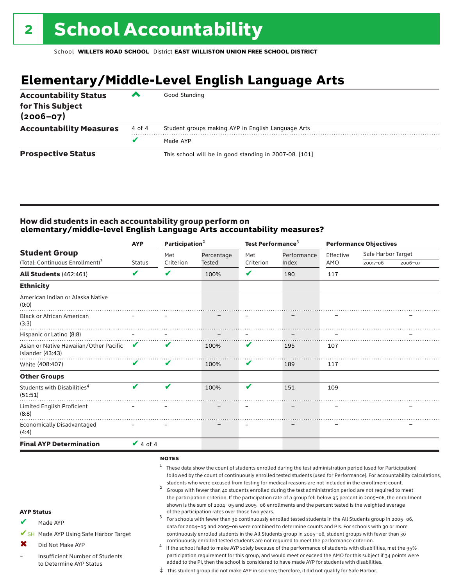# **Elementary/Middle-Level English Language Arts**

| <b>Accountability Status</b><br>for This Subject<br>$(2006 - 07)$ | ▰      | Good Standing                                          |
|-------------------------------------------------------------------|--------|--------------------------------------------------------|
| <b>Accountability Measures</b>                                    | 4 of 4 | Student groups making AYP in English Language Arts     |
|                                                                   | v      | Made AYP                                               |
| <b>Prospective Status</b>                                         |        | This school will be in good standing in 2007-08. [101] |

#### How did students in each accountability group perform on **elementary/middle-level English Language Arts accountability measures?**

|                                             |        | Participation <sup>2</sup> |               | Test Performance <sup>3</sup> |           | <b>Performance Objectives</b> |             |
|---------------------------------------------|--------|----------------------------|---------------|-------------------------------|-----------|-------------------------------|-------------|
|                                             | Met    | Percentage                 | Met           | Performance                   | Effective | Safe Harbor Target            |             |
|                                             |        |                            |               |                               |           |                               | 2006-07     |
| V                                           | V      | 100%                       | ✔             | 190                           | 117       |                               |             |
|                                             |        |                            |               |                               |           |                               |             |
|                                             |        |                            |               |                               |           |                               |             |
|                                             |        |                            |               |                               |           |                               |             |
|                                             |        |                            |               |                               |           |                               |             |
| V<br>Asian or Native Hawaiian/Other Pacific | v      | 100%                       | V             | 195                           | 107       |                               |             |
| V                                           | V      | 100%                       | V             | 189                           | 117       |                               |             |
|                                             |        |                            |               |                               |           |                               |             |
| V                                           | V      | 100%                       | V             | 151                           | 109       |                               |             |
|                                             |        |                            |               |                               |           |                               |             |
|                                             |        |                            |               |                               |           |                               |             |
|                                             |        |                            |               |                               |           |                               |             |
|                                             | Status | Criterion<br>$\vee$ 4 of 4 | <b>Tested</b> | Criterion                     | Index     | AMO                           | $2005 - 06$ |

#### notes

- <sup>1</sup> These data show the count of students enrolled during the test administration period (used for Participation) followed by the count of continuously enrolled tested students (used for Performance). For accountability calculations, students who were excused from testing for medical reasons are not included in the enrollment count.<br><sup>2</sup> Groups with fewer than 40 students enrolled during the test administration period are not required to meet
	- the participation criterion. If the participation rate of a group fell below 95 percent in 2005–06, the enrollment shown is the sum of 2004–05 and 2005–06 enrollments and the percent tested is the weighted average<br>of the participation rates over those two years. of the participation rates over those two years. <sup>3</sup> For schools with fewer than 30 continuously enrolled tested students in the All Students group in 2005–06,

AYP Status Made AYP ✔

✔SH Made AYP Using Safe Harbor Target

Did Not Make AYP ✖

Insufficient Number of Students to Determine AYP Status –

continuously enrolled tested students are not required to meet the performance criterion.<br>If the school failed to make AYP solely because of the performance of students with disabilities, met the 95% participation requirement for this group, and would meet or exceed the AMO for this subject if 34 points were added to the PI, then the school is considered to have made AYP for students with disabilities.

data for 2004–05 and 2005–06 were combined to determine counts and PIs. For schools with 30 or more continuously enrolled students in the All Students group in 2005–06, student groups with fewer than 30

‡ This student group did not make AYP in science; therefore, it did not qualify for Safe Harbor.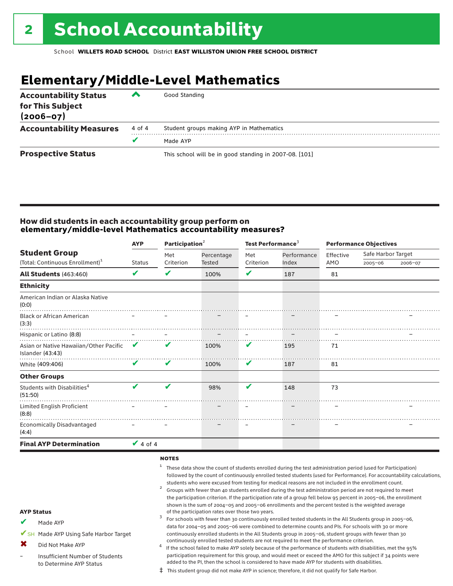# **Elementary/Middle-Level Mathematics**

| <b>Accountability Status</b><br>for This Subject<br>$(2006 - 07)$ | ▰      | Good Standing                                          |
|-------------------------------------------------------------------|--------|--------------------------------------------------------|
| <b>Accountability Measures</b>                                    | 4 of 4 | Student groups making AYP in Mathematics               |
|                                                                   |        | Made AYP                                               |
| <b>Prospective Status</b>                                         |        | This school will be in good standing in 2007-08. [101] |

#### How did students in each accountability group perform on **elementary/middle-level Mathematics accountability measures?**

|                                                            | <b>AYP</b>    | Participation <sup>2</sup> |            | Test Performance <sup>3</sup> |             | <b>Performance Objectives</b> |                    |         |
|------------------------------------------------------------|---------------|----------------------------|------------|-------------------------------|-------------|-------------------------------|--------------------|---------|
| <b>Student Group</b>                                       |               | Met                        | Percentage | Met                           | Performance | Effective                     | Safe Harbor Target |         |
| (Total: Continuous Enrollment) <sup>1</sup>                | <b>Status</b> | Criterion                  | Tested     | Criterion                     | Index       | AMO                           | $2005 - 06$        | 2006-07 |
| <b>All Students (463:460)</b>                              | V             | V                          | 100%       | V                             | 187         | 81                            |                    |         |
| <b>Ethnicity</b>                                           |               |                            |            |                               |             |                               |                    |         |
| American Indian or Alaska Native<br>(0:0)                  |               |                            |            |                               |             |                               |                    |         |
| <b>Black or African American</b><br>(3:3)                  |               |                            |            |                               |             |                               |                    |         |
| Hispanic or Latino (8:8)                                   |               |                            |            |                               |             |                               |                    |         |
| Asian or Native Hawaiian/Other Pacific<br>Islander (43:43) | $\mathbf{V}$  |                            | 100%       | V                             | 195         | 71                            |                    |         |
| White (409:406)                                            | V             | V                          | 100%       | V                             | 187         | 81                            |                    |         |
| <b>Other Groups</b>                                        |               |                            |            |                               |             |                               |                    |         |
| Students with Disabilities <sup>4</sup><br>(51:50)         | V             | ✔                          | 98%        | V                             | 148         | 73                            |                    |         |
| Limited English Proficient<br>(8:8)                        |               |                            |            |                               |             |                               |                    |         |
| <b>Economically Disadvantaged</b><br>(4:4)                 |               |                            |            |                               |             |                               |                    |         |
| <b>Final AYP Determination</b>                             | $\vee$ 4 of 4 |                            |            |                               |             |                               |                    |         |
|                                                            |               |                            |            |                               |             |                               |                    |         |

#### notes

- <sup>1</sup> These data show the count of students enrolled during the test administration period (used for Participation) followed by the count of continuously enrolled tested students (used for Performance). For accountability calculations, students who were excused from testing for medical reasons are not included in the enrollment count.<br><sup>2</sup> Groups with fewer than 40 students enrolled during the test administration period are not required to meet
	- the participation criterion. If the participation rate of a group fell below 95 percent in 2005–06, the enrollment shown is the sum of 2004–05 and 2005–06 enrollments and the percent tested is the weighted average<br>of the participation rates over those two years. of the participation rates over those two years. <sup>3</sup> For schools with fewer than 30 continuously enrolled tested students in the All Students group in 2005–06,

AYP Status

Made AYP ✔

✔SH Made AYP Using Safe Harbor Target

Did Not Make AYP ✖

Insufficient Number of Students to Determine AYP Status –

continuously enrolled tested students are not required to meet the performance criterion.<br>If the school failed to make AYP solely because of the performance of students with disabilities, met the 95% participation requirement for this group, and would meet or exceed the AMO for this subject if 34 points were added to the PI, then the school is considered to have made AYP for students with disabilities.

data for 2004–05 and 2005–06 were combined to determine counts and PIs. For schools with 30 or more continuously enrolled students in the All Students group in 2005–06, student groups with fewer than 30

‡ This student group did not make AYP in science; therefore, it did not qualify for Safe Harbor.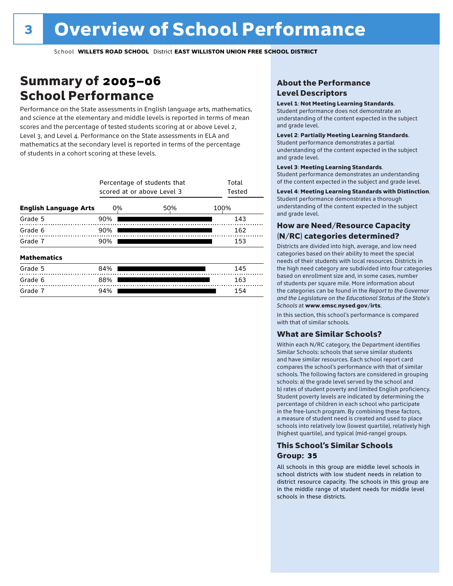### Summary of 2005–06 School Performance

Performance on the State assessments in English language arts, mathematics, and science at the elementary and middle levels is reported in terms of mean scores and the percentage of tested students scoring at or above Level 2, Level 3, and Level 4. Performance on the State assessments in ELA and mathematics at the secondary level is reported in terms of the percentage of students in a cohort scoring at these levels.

|                              | Percentage of students that<br>scored at or above Level 3 | Total<br>Tested |      |     |  |  |  |  |
|------------------------------|-----------------------------------------------------------|-----------------|------|-----|--|--|--|--|
| <b>English Language Arts</b> | 0%                                                        | 50%             | 100% |     |  |  |  |  |
| Grade 5                      | 90%                                                       |                 |      | 143 |  |  |  |  |
| Grade 6                      | 90%                                                       |                 |      | 162 |  |  |  |  |
| Grade 7                      | 90%                                                       |                 |      |     |  |  |  |  |
| <b>Mathematics</b>           |                                                           |                 |      |     |  |  |  |  |
| Grade 5                      | 84%                                                       |                 |      | 145 |  |  |  |  |
| Grade 6                      | 88%                                                       |                 |      | 163 |  |  |  |  |
| Grade 7                      | 94%                                                       |                 |      | 154 |  |  |  |  |

#### About the Performance Level Descriptors

#### Level 1: Not Meeting Learning Standards.

Student performance does not demonstrate an understanding of the content expected in the subject and grade level.

#### Level 2: Partially Meeting Learning Standards.

Student performance demonstrates a partial understanding of the content expected in the subject and grade level.

#### Level 3: Meeting Learning Standards.

Student performance demonstrates an understanding of the content expected in the subject and grade level.

#### Level 4: Meeting Learning Standards with Distinction.

Student performance demonstrates a thorough understanding of the content expected in the subject and grade level.

#### How are Need/Resource Capacity (N/RC) categories determined?

Districts are divided into high, average, and low need categories based on their ability to meet the special needs of their students with local resources. Districts in the high need category are subdivided into four categories based on enrollment size and, in some cases, number of students per square mile. More information about the categories can be found in the *Report to the Governor and the Legislature on the Educational Status of the State's Schools* at www.emsc.nysed.gov/irts.

In this section, this school's performance is compared with that of similar schools.

#### What are Similar Schools?

Within each N/RC category, the Department identifies Similar Schools: schools that serve similar students and have similar resources. Each school report card compares the school's performance with that of similar schools. The following factors are considered in grouping schools: a) the grade level served by the school and b) rates of student poverty and limited English proficiency. Student poverty levels are indicated by determining the percentage of children in each school who participate in the free-lunch program. By combining these factors, a measure of student need is created and used to place schools into relatively low (lowest quartile), relatively high (highest quartile), and typical (mid-range) groups.

#### This School's Similar Schools Group: **35**

All schools in this group are middle level schools in school districts with low student needs in relation to district resource capacity. The schools in this group are in the middle range of student needs for middle level schools in these districts.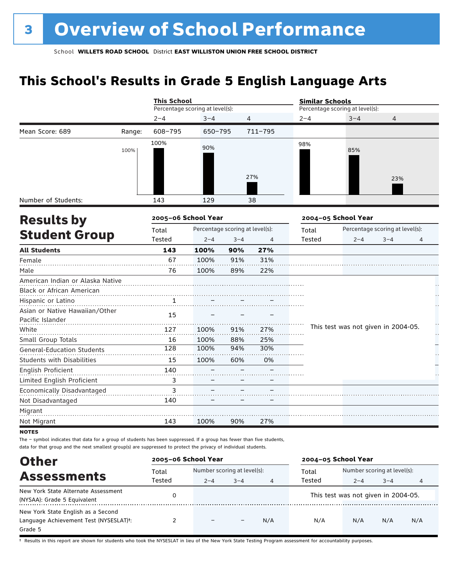## **This School's Results in Grade 5 English Language Arts**

|                                                    |        | <b>This School</b>  |                                 |         |         | <b>Similar Schools</b> |                                     |                                 |   |  |
|----------------------------------------------------|--------|---------------------|---------------------------------|---------|---------|------------------------|-------------------------------------|---------------------------------|---|--|
|                                                    |        |                     | Percentage scoring at level(s): |         |         |                        | Percentage scoring at level(s):     |                                 |   |  |
|                                                    |        | $2 - 4$             | $3 - 4$                         |         | 4       | $2 - 4$                | $3 - 4$                             | 4                               |   |  |
| Mean Score: 689                                    | Range: | 608-795             | 650-795                         |         | 711-795 |                        |                                     |                                 |   |  |
|                                                    | 100%   | 100%                | 90%                             |         | 27%     | 98%                    | 85%                                 | 23%                             |   |  |
|                                                    |        |                     |                                 |         |         |                        |                                     |                                 |   |  |
| Number of Students:                                |        | 143                 | 129                             |         | 38      |                        |                                     |                                 |   |  |
| <b>Results by</b>                                  |        | 2005-06 School Year |                                 |         |         |                        | 2004-05 School Year                 |                                 |   |  |
|                                                    |        | Total               | Percentage scoring at level(s): |         |         | Total                  |                                     | Percentage scoring at level(s): |   |  |
| <b>Student Group</b>                               |        | Tested              | $2 - 4$                         | $3 - 4$ | 4       | Tested                 | $2 - 4$                             | $3 - 4$                         | 4 |  |
| <b>All Students</b>                                |        | 143                 | 100%                            | 90%     | 27%     |                        |                                     |                                 |   |  |
| Female                                             |        | 67                  | 100%                            | 91%     | 31%     |                        |                                     |                                 |   |  |
| Male                                               |        | 76                  | 100%                            | 89%     | 22%     |                        |                                     |                                 |   |  |
| American Indian or Alaska Native                   |        |                     |                                 |         |         |                        |                                     |                                 |   |  |
| Black or African American                          |        |                     |                                 |         |         |                        |                                     |                                 |   |  |
| Hispanic or Latino                                 |        | $\mathbf{1}$        |                                 |         |         |                        |                                     |                                 |   |  |
| Asian or Native Hawaiian/Other<br>Pacific Islander |        | 15                  |                                 |         |         |                        |                                     |                                 |   |  |
| White                                              |        | 127                 | 100%                            | 91%     | 27%     |                        | This test was not given in 2004-05. |                                 |   |  |
| Small Group Totals                                 |        | 16                  | 100%                            | 88%     | 25%     |                        |                                     |                                 |   |  |
| General-Education Students                         |        | 128                 | 100%                            | 94%     | 30%     |                        |                                     |                                 |   |  |
| <b>Students with Disabilities</b>                  |        | 15                  | 100%                            | 60%     | 0%      |                        |                                     |                                 |   |  |
| English Proficient                                 |        | 140                 |                                 |         |         |                        |                                     |                                 |   |  |
| Limited English Proficient                         |        | 3                   |                                 |         |         |                        |                                     |                                 |   |  |
| Economically Disadvantaged                         |        | 3                   |                                 |         |         |                        |                                     |                                 |   |  |
| Not Disadvantaged                                  |        | 140                 |                                 |         |         |                        |                                     |                                 |   |  |
| Migrant                                            |        |                     |                                 |         |         |                        |                                     |                                 |   |  |
| Not Migrant                                        |        | 143                 | 100%                            | 90%     | 27%     |                        |                                     |                                 |   |  |

**NOTES** 

The – symbol indicates that data for a group of students has been suppressed. If a group has fewer than five students, data for that group and the next smallest group(s) are suppressed to protect the privacy of individual students.

| <b>Other</b>                           | 2005-06 School Year |                              |         |     | 2004-05 School Year |                             |                                     |     |  |  |
|----------------------------------------|---------------------|------------------------------|---------|-----|---------------------|-----------------------------|-------------------------------------|-----|--|--|
| <b>Assessments</b>                     | Total               | Number scoring at level(s):  |         |     | Total               | Number scoring at level(s): |                                     |     |  |  |
|                                        | Tested              | $2 - 4$                      | $3 - 4$ | 4   | Tested              | $2 - 4$                     | $3 - 4$                             | 4   |  |  |
| New York State Alternate Assessment    |                     |                              |         |     |                     |                             | This test was not given in 2004-05. |     |  |  |
| (NYSAA): Grade 5 Equivalent            |                     |                              |         |     |                     |                             |                                     |     |  |  |
| New York State English as a Second     |                     |                              |         |     |                     |                             |                                     |     |  |  |
| Language Achievement Test (NYSESLAT)t: |                     | $\qquad \qquad \blacksquare$ |         | N/A | N/A                 | N/A                         | N/A                                 | N/A |  |  |
| Grade 5                                |                     |                              |         |     |                     |                             |                                     |     |  |  |

† Results in this report are shown for students who took the NYSESLAT in lieu of the New York State Testing Program assessment for accountability purposes.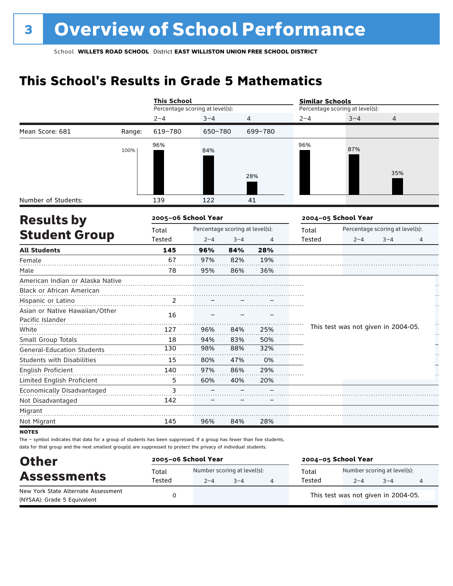# **This School's Results in Grade 5 Mathematics**

|                                                    |        | <b>This School</b>              |         |                                 |         | <b>Similar Schools</b> |                                     |                                 |          |  |
|----------------------------------------------------|--------|---------------------------------|---------|---------------------------------|---------|------------------------|-------------------------------------|---------------------------------|----------|--|
|                                                    |        | Percentage scoring at level(s): |         |                                 |         |                        | Percentage scoring at level(s):     |                                 |          |  |
|                                                    |        | $2 - 4$                         | $3 - 4$ | 4                               |         | $2 - 4$                | $3 - 4$                             | 4                               |          |  |
| Mean Score: 681                                    | Range: | 619-780                         | 650-780 |                                 | 699-780 |                        |                                     |                                 |          |  |
|                                                    | 100%   | 96%                             | 84%     |                                 | 28%     | 96%                    | 87%                                 | 35%                             |          |  |
| Number of Students:                                |        | 139                             | 122     |                                 | 41      |                        |                                     |                                 |          |  |
| <b>Results by</b>                                  |        | 2005-06 School Year             |         |                                 |         |                        | 2004-05 School Year                 |                                 |          |  |
|                                                    |        | Total                           |         | Percentage scoring at level(s): |         | Total                  |                                     | Percentage scoring at level(s): |          |  |
| <b>Student Group</b>                               |        | Tested                          | $2 - 4$ | $3 - 4$                         | 4       | <b>Tested</b>          | $2 - 4$                             | $3 - 4$                         | 4        |  |
| <b>All Students</b>                                |        | 145                             | 96%     | 84%                             | 28%     |                        |                                     |                                 |          |  |
| Female                                             |        | 67                              | 97%     | 82%                             | 19%     |                        |                                     |                                 |          |  |
| Male                                               |        | 78                              | 95%     | 86%                             | 36%     |                        |                                     |                                 |          |  |
| American Indian or Alaska Native                   |        |                                 |         |                                 |         |                        |                                     |                                 |          |  |
| Black or African American                          |        |                                 |         |                                 |         |                        |                                     |                                 |          |  |
| Hispanic or Latino                                 |        | 2                               |         |                                 |         |                        |                                     |                                 |          |  |
| Asian or Native Hawaiian/Other<br>Pacific Islander |        | 16                              |         |                                 |         |                        |                                     |                                 |          |  |
| White                                              |        | 127                             | 96%     | 84%                             | 25%     |                        | This test was not given in 2004-05. |                                 | Ĩ,<br>Н, |  |
| Small Group Totals                                 |        | 18                              | 94%     | 83%                             | 50%     |                        |                                     |                                 |          |  |
| <b>General-Education Students</b>                  |        | 130                             | 98%     | 88%                             | 32%     |                        |                                     |                                 |          |  |
| <b>Students with Disabilities</b>                  |        | 15                              | 80%     | 47%                             | 0%      |                        |                                     |                                 |          |  |
| English Proficient                                 |        | 140                             | 97%     | 86%                             | 29%     |                        |                                     |                                 |          |  |
| Limited English Proficient                         |        | 5                               | 60%     | 40%                             | 20%     |                        |                                     |                                 |          |  |
| Economically Disadvantaged                         |        | 3                               |         |                                 |         |                        |                                     |                                 |          |  |
| Not Disadvantaged                                  |        | 142                             |         |                                 |         |                        |                                     |                                 |          |  |
| Migrant                                            |        |                                 |         |                                 |         |                        |                                     |                                 |          |  |
| Not Migrant                                        |        | 145                             | 96%     | 84%                             | 28%     |                        |                                     |                                 |          |  |
| <b>NOTES</b>                                       |        |                                 |         |                                 |         |                        |                                     |                                 |          |  |

The – symbol indicates that data for a group of students has been suppressed. If a group has fewer than five students, data for that group and the next smallest group(s) are suppressed to protect the privacy of individual students.

| <b>Other</b>                                                       |                 | 2005-06 School Year                    |         | 2004-05 School Year |                                        |         |   |  |
|--------------------------------------------------------------------|-----------------|----------------------------------------|---------|---------------------|----------------------------------------|---------|---|--|
| <b>Assessments</b>                                                 | Total<br>Tested | Number scoring at level(s):<br>$2 - 4$ | $3 - 4$ | Total<br>Tested     | Number scoring at level(s):<br>$2 - 4$ | $3 - 4$ | 4 |  |
| New York State Alternate Assessment<br>(NYSAA): Grade 5 Equivalent |                 |                                        |         |                     | This test was not given in 2004-05.    |         |   |  |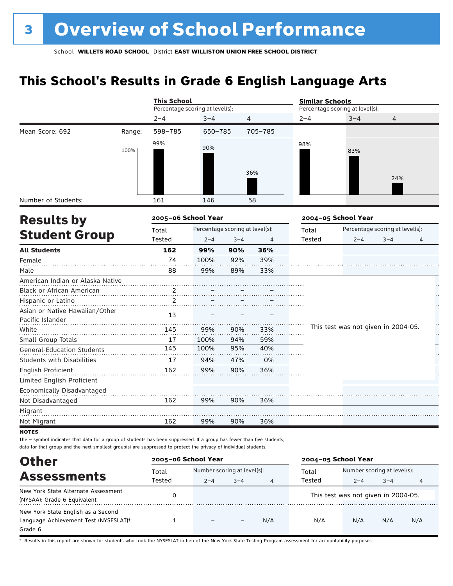# **This School's Results in Grade 6 English Language Arts**

|                                                    |        | <b>This School</b>              |                                 |         |                | <b>Similar Schools</b> |                                     |                                 |         |  |  |
|----------------------------------------------------|--------|---------------------------------|---------------------------------|---------|----------------|------------------------|-------------------------------------|---------------------------------|---------|--|--|
|                                                    |        | Percentage scoring at level(s): |                                 |         |                |                        | Percentage scoring at level(s):     |                                 |         |  |  |
|                                                    |        | $2 - 4$                         | $3 - 4$                         | 4       |                | $2 - 4$                | $3 - 4$                             | 4                               |         |  |  |
| Mean Score: 692                                    | Range: | 598-785                         | 650-785                         |         | 705-785        |                        |                                     |                                 |         |  |  |
|                                                    | 100%   | 99%                             | 90%                             |         |                | 98%                    | 83%                                 |                                 |         |  |  |
| Number of Students:                                |        | 161                             | 146                             |         | 36%<br>58      |                        |                                     | 24%                             |         |  |  |
|                                                    |        |                                 |                                 |         |                |                        |                                     |                                 |         |  |  |
| <b>Results by</b>                                  |        | 2005-06 School Year             |                                 |         |                |                        | 2004-05 School Year                 |                                 |         |  |  |
| <b>Student Group</b>                               |        | Total                           | Percentage scoring at level(s): |         |                | Total                  |                                     | Percentage scoring at level(s): |         |  |  |
|                                                    |        | Tested                          | $2 - 4$                         | $3 - 4$ | $\overline{4}$ | <b>Tested</b>          | $2 - 4$                             | $3 - 4$                         | 4       |  |  |
| <b>All Students</b>                                |        | 162                             | 99%                             | 90%     | 36%            |                        |                                     |                                 |         |  |  |
| Female                                             |        | 74                              | 100%                            | 92%     | 39%            |                        |                                     |                                 |         |  |  |
| Male                                               |        | 88                              | 99%                             | 89%     | 33%            |                        |                                     |                                 |         |  |  |
| American Indian or Alaska Native                   |        |                                 |                                 |         |                |                        |                                     |                                 |         |  |  |
| Black or African American                          |        | $\overline{.}^2$ .              |                                 |         |                |                        |                                     |                                 |         |  |  |
| Hispanic or Latino                                 |        | 2                               |                                 |         |                |                        |                                     |                                 |         |  |  |
| Asian or Native Hawaiian/Other<br>Pacific Islander |        | 13                              |                                 |         |                |                        |                                     |                                 |         |  |  |
| White                                              |        | 145                             | 99%                             | 90%     | 33%            |                        | This test was not given in 2004-05. |                                 | H<br>Н, |  |  |
| Small Group Totals                                 |        | 17                              | 100%                            | 94%     | 59%            |                        |                                     |                                 |         |  |  |
| <b>General-Education Students</b>                  |        | 145                             | 100%                            | 95%     | 40%            |                        |                                     |                                 |         |  |  |
| <b>Students with Disabilities</b>                  |        | 17                              | 94%                             | 47%     | 0%             |                        |                                     |                                 |         |  |  |
| English Proficient<br>Limited English Proficient   |        | 162                             | 99%                             | 90%     | 36%            |                        |                                     |                                 |         |  |  |
| Economically Disadvantaged                         |        |                                 |                                 |         |                |                        |                                     |                                 |         |  |  |
| Not Disadvantaged                                  |        | 162                             | 99%                             | 90%     | 36%            |                        |                                     |                                 |         |  |  |
| Migrant                                            |        |                                 |                                 |         |                |                        |                                     |                                 |         |  |  |
| Not Migrant                                        |        | 162                             | 99%                             | 90%     | 36%            |                        |                                     |                                 |         |  |  |
| <b>NOTES</b>                                       |        |                                 |                                 |         |                |                        |                                     |                                 |         |  |  |

The – symbol indicates that data for a group of students has been suppressed. If a group has fewer than five students, data for that group and the next smallest group(s) are suppressed to protect the privacy of individual students.

| <b>Other</b>                                                                                         | 2005-06 School Year |                             |         |     | 2004-05 School Year                 |                             |         |     |
|------------------------------------------------------------------------------------------------------|---------------------|-----------------------------|---------|-----|-------------------------------------|-----------------------------|---------|-----|
| <b>Assessments</b>                                                                                   | Total               | Number scoring at level(s): |         |     | Total                               | Number scoring at level(s): |         |     |
|                                                                                                      | Tested              | $2 - 4$                     | $3 - 4$ | 4   | Tested                              | $2 - 4$                     | $3 - 4$ | 4   |
| New York State Alternate Assessment<br>(NYSAA): Grade 6 Equivalent                                   |                     |                             |         |     | This test was not given in 2004-05. |                             |         |     |
| New York State English as a Second<br>Language Achievement Test (NYSESLAT) <sup>t</sup> :<br>Grade 6 |                     |                             |         | N/A | N/A                                 | N/A                         | N/A     | N/A |

† Results in this report are shown for students who took the NYSESLAT in lieu of the New York State Testing Program assessment for accountability purposes.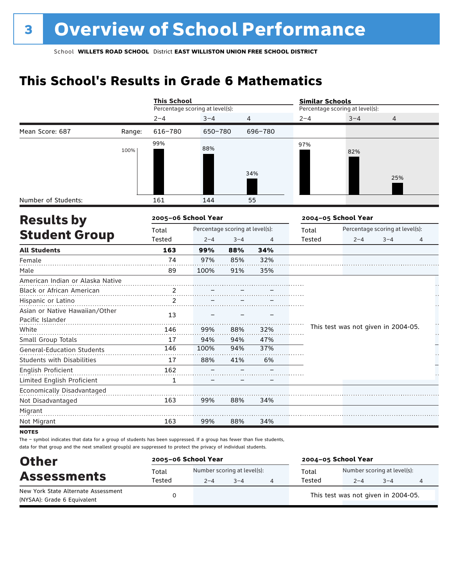# **This School's Results in Grade 6 Mathematics**

|                                                    |        | <b>This School</b>              |                                 |         |         | <b>Similar Schools</b> |                                     |                                 |    |  |  |
|----------------------------------------------------|--------|---------------------------------|---------------------------------|---------|---------|------------------------|-------------------------------------|---------------------------------|----|--|--|
|                                                    |        | Percentage scoring at level(s): |                                 |         |         |                        | Percentage scoring at level(s):     |                                 |    |  |  |
|                                                    |        | $2 - 4$                         | $3 - 4$                         | 4       |         | $2 - 4$                | $3 - 4$                             | 4                               |    |  |  |
| Mean Score: 687                                    | Range: | 616-780                         | 650-780                         |         | 696-780 |                        |                                     |                                 |    |  |  |
|                                                    | 100%   | 99%                             | 88%                             |         | 34%     | 97%                    | 82%                                 | 25%                             |    |  |  |
| Number of Students:                                |        | 161                             | 144                             |         | 55      |                        |                                     |                                 |    |  |  |
| <b>Results by</b>                                  |        | 2005-06 School Year             |                                 |         |         |                        | 2004-05 School Year                 |                                 |    |  |  |
|                                                    |        | Total                           | Percentage scoring at level(s): |         |         | Total                  |                                     | Percentage scoring at level(s): |    |  |  |
| <b>Student Group</b>                               |        | Tested                          | $2 - 4$                         | $3 - 4$ | 4       | <b>Tested</b>          | $2 - 4$                             | $3 - 4$                         | 4  |  |  |
| <b>All Students</b>                                |        | 163                             | 99%                             | 88%     | 34%     |                        |                                     |                                 |    |  |  |
| Female                                             |        | 74                              | 97%                             | 85%     | 32%     |                        |                                     |                                 |    |  |  |
| Male                                               |        | 89                              | 100%                            | 91%     | 35%     |                        |                                     |                                 |    |  |  |
| American Indian or Alaska Native                   |        |                                 |                                 |         |         |                        |                                     |                                 |    |  |  |
| Black or African American                          |        | 2.                              |                                 |         |         |                        |                                     |                                 |    |  |  |
| Hispanic or Latino                                 |        | $\overline{2}$                  |                                 |         |         |                        |                                     |                                 |    |  |  |
| Asian or Native Hawaiian/Other<br>Pacific Islander |        | 13                              |                                 |         |         |                        |                                     |                                 |    |  |  |
| White                                              |        | 146                             | 99%                             | 88%     | 32%     |                        | This test was not given in 2004-05. |                                 | Н, |  |  |
| Small Group Totals                                 |        | 17                              | 94%                             | 94%     | 47%     |                        |                                     |                                 |    |  |  |
| <b>General-Education Students</b>                  |        | 146                             | 100%                            | 94%     | 37%     |                        |                                     |                                 |    |  |  |
| <b>Students with Disabilities</b>                  |        | 17                              | 88%                             | 41%     | 6%      |                        |                                     |                                 |    |  |  |
| <b>English Proficient</b>                          |        | 162                             |                                 |         |         |                        |                                     |                                 |    |  |  |
| Limited English Proficient                         |        | 1                               |                                 |         |         |                        |                                     |                                 |    |  |  |
| Economically Disadvantaged                         |        |                                 |                                 |         |         |                        |                                     |                                 |    |  |  |
| Not Disadvantaged                                  |        | 163                             | 99%                             | 88%     | 34%     |                        |                                     |                                 |    |  |  |
| Migrant                                            |        |                                 |                                 |         |         |                        |                                     |                                 |    |  |  |
| Not Migrant                                        |        | 163                             | 99%                             | 88%     | 34%     |                        |                                     |                                 |    |  |  |
| <b>NOTEC</b>                                       |        |                                 |                                 |         |         |                        |                                     |                                 |    |  |  |

not

The – symbol indicates that data for a group of students has been suppressed. If a group has fewer than five students, data for that group and the next smallest group(s) are suppressed to protect the privacy of individual students.

| <b>Other</b>                                                       | 2005-06 School Year |         |                                        | 2004-05 School Year |                                                   |  |  |  |
|--------------------------------------------------------------------|---------------------|---------|----------------------------------------|---------------------|---------------------------------------------------|--|--|--|
| <b>Assessments</b>                                                 | Total<br>Tested     | $2 - 4$ | Number scoring at level(s):<br>$3 - 4$ | Total<br>Tested     | Number scoring at level(s):<br>$3 - 4$<br>$2 - 4$ |  |  |  |
| New York State Alternate Assessment<br>(NYSAA): Grade 6 Equivalent |                     |         |                                        |                     | This test was not given in 2004-05.               |  |  |  |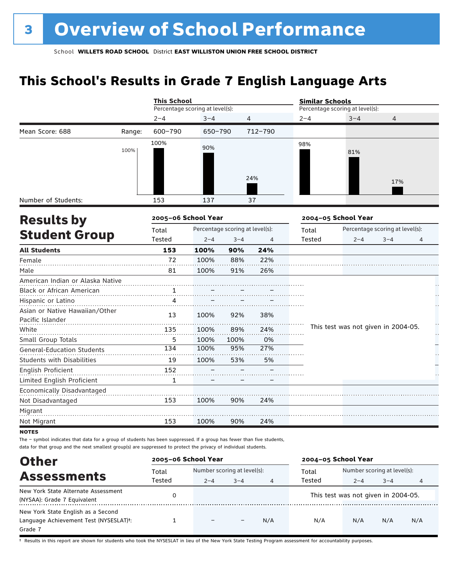# **This School's Results in Grade 7 English Language Arts**

|                                                    |        | <b>This School</b>              |         |                                 |         | <b>Similar Schools</b>          |                     |                                     |    |  |
|----------------------------------------------------|--------|---------------------------------|---------|---------------------------------|---------|---------------------------------|---------------------|-------------------------------------|----|--|
|                                                    |        | Percentage scoring at level(s): |         |                                 |         | Percentage scoring at level(s): |                     |                                     |    |  |
|                                                    |        | $2 - 4$                         | $3 - 4$ |                                 | 4       | $2 - 4$                         | $3 - 4$             | 4                                   |    |  |
| Mean Score: 688                                    | Range: | 600-790                         | 650-790 |                                 | 712-790 |                                 |                     |                                     |    |  |
|                                                    | 100%   | 100%                            | 90%     |                                 | 24%     | 98%                             | 81%                 | 17%                                 |    |  |
| Number of Students:                                |        | 153                             | 137     |                                 | 37      |                                 |                     |                                     |    |  |
| <b>Results by</b>                                  |        | 2005-06 School Year             |         |                                 |         |                                 | 2004-05 School Year |                                     |    |  |
|                                                    |        | Total                           |         | Percentage scoring at level(s): |         | Total                           |                     | Percentage scoring at level(s):     |    |  |
| <b>Student Group</b>                               |        | Tested                          | $2 - 4$ | $3 - 4$                         | 4       | Tested                          | $2 - 4$             | $3 - 4$                             | 4  |  |
| <b>All Students</b>                                |        | 153                             | 100%    | 90%                             | 24%     |                                 |                     |                                     |    |  |
| Female                                             |        | 72                              | 100%    | 88%                             | 22%     |                                 |                     |                                     |    |  |
| Male                                               |        | 81                              | 100%    | 91%                             | 26%     |                                 |                     |                                     |    |  |
| American Indian or Alaska Native                   |        |                                 |         |                                 |         |                                 |                     |                                     |    |  |
| Black or African American                          |        | $\mathbf{1}$                    |         |                                 |         |                                 |                     |                                     |    |  |
| Hispanic or Latino                                 |        | 4                               |         |                                 |         |                                 |                     |                                     |    |  |
| Asian or Native Hawaiian/Other<br>Pacific Islander |        | 13                              | 100%    | 92%                             | 38%     |                                 |                     |                                     |    |  |
| White                                              |        | 135                             | 100%    | 89%                             | 24%     |                                 |                     | This test was not given in 2004-05. | Н, |  |
| Small Group Totals                                 |        | 5                               | 100%    | 100%                            | 0%      |                                 |                     |                                     |    |  |
| <b>General-Education Students</b>                  |        | 134                             | 100%    | 95%                             | 27%     |                                 |                     |                                     |    |  |
| <b>Students with Disabilities</b>                  |        | 19                              | 100%    | 53%                             | 5%      |                                 |                     |                                     |    |  |
| English Proficient                                 |        | 152                             |         |                                 |         |                                 |                     |                                     |    |  |
| Limited English Proficient                         |        | $\mathbf{1}$                    |         |                                 |         |                                 |                     |                                     |    |  |
| Economically Disadvantaged                         |        |                                 |         |                                 |         |                                 |                     |                                     |    |  |
| Not Disadvantaged                                  |        | 153                             | 100%    | 90%                             | 24%     |                                 |                     |                                     |    |  |
| Migrant                                            |        |                                 |         |                                 |         |                                 |                     |                                     |    |  |
| Not Migrant                                        |        | 153                             | 100%    | 90%                             | 24%     |                                 |                     |                                     |    |  |
| <b>NOTES</b>                                       |        |                                 |         |                                 |         |                                 |                     |                                     |    |  |

The – symbol indicates that data for a group of students has been suppressed. If a group has fewer than five students, data for that group and the next smallest group(s) are suppressed to protect the privacy of individual students.

| <b>Other</b>                                                                                         | 2005-06 School Year |                             |         |     | 2004-05 School Year |                                     |         |     |
|------------------------------------------------------------------------------------------------------|---------------------|-----------------------------|---------|-----|---------------------|-------------------------------------|---------|-----|
| <b>Assessments</b>                                                                                   | Total               | Number scoring at level(s): |         |     | Total               | Number scoring at level(s):         |         |     |
|                                                                                                      | Tested              | $2 - 4$                     | $3 - 4$ | 4   | Tested              | $2 - 4$                             | $3 - 4$ | 4   |
| New York State Alternate Assessment<br>(NYSAA): Grade 7 Equivalent                                   |                     |                             |         |     |                     | This test was not given in 2004-05. |         |     |
| New York State English as a Second<br>Language Achievement Test (NYSESLAT) <sup>+</sup> :<br>Grade 7 |                     |                             |         | N/A | N/A                 | N/A                                 | N/A     | N/A |

† Results in this report are shown for students who took the NYSESLAT in lieu of the New York State Testing Program assessment for accountability purposes.